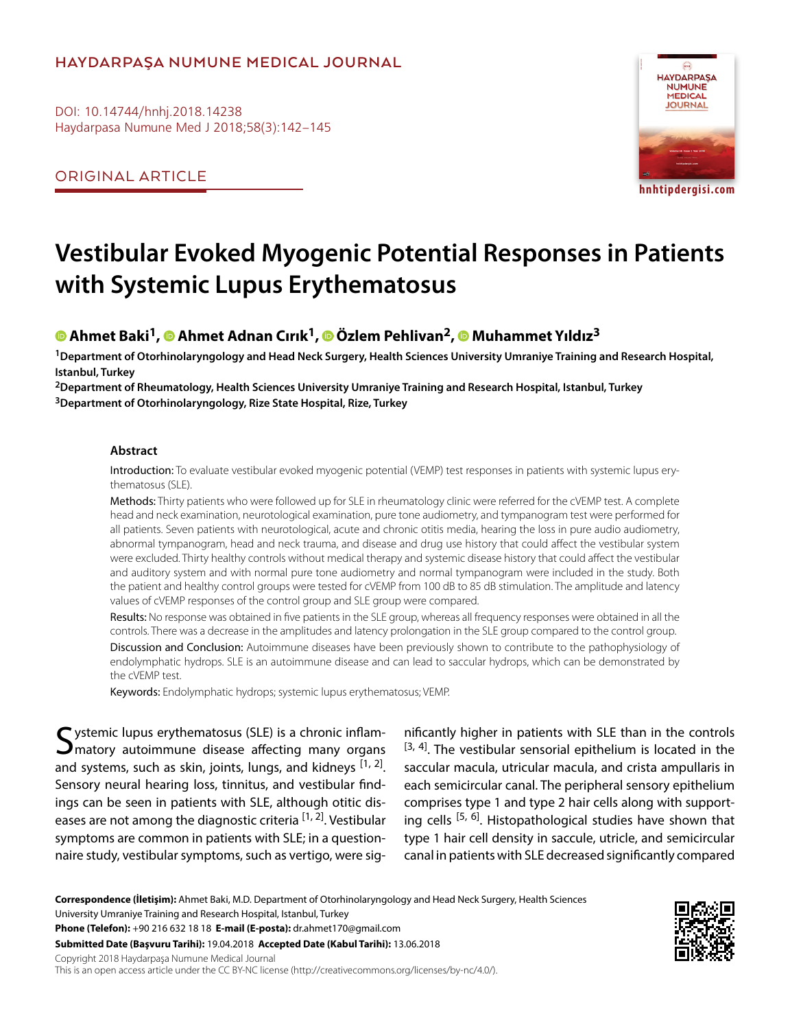## **HAYDARPAŞA NUMUNE MEDICAL JOURNAL**

DOI: 10.14744/hnhj.2018.14238 Haydarpasa Numune Med J 2018;58(3):142–145

ORIGINAL ARTICLE



**hnhtipdergisi.com**

# **Vestibular Evoked Myogenic Potential Responses in Patients with Systemic Lupus Erythematosus**

## **Ahmet Baki1,Ahmet Adnan Cırık1,Özlem Pehlivan2,Muhammet Yıldız3**

**1Department of Otorhinolaryngology and Head Neck Surgery, Health Sciences University Umraniye Training and Research Hospital, Istanbul, Turkey**

**2Department of Rheumatology, Health Sciences University Umraniye Training and Research Hospital, Istanbul, Turkey 3Department of Otorhinolaryngology, Rize State Hospital, Rize, Turkey**

#### **Abstract**

Introduction: To evaluate vestibular evoked myogenic potential (VEMP) test responses in patients with systemic lupus erythematosus (SLE).

Methods: Thirty patients who were followed up for SLE in rheumatology clinic were referred for the cVEMP test. A complete head and neck examination, neurotological examination, pure tone audiometry, and tympanogram test were performed for all patients. Seven patients with neurotological, acute and chronic otitis media, hearing the loss in pure audio audiometry, abnormal tympanogram, head and neck trauma, and disease and drug use history that could affect the vestibular system were excluded. Thirty healthy controls without medical therapy and systemic disease history that could affect the vestibular and auditory system and with normal pure tone audiometry and normal tympanogram were included in the study. Both the patient and healthy control groups were tested for cVEMP from 100 dB to 85 dB stimulation. The amplitude and latency values of cVEMP responses of the control group and SLE group were compared.

Results: No response was obtained in five patients in the SLE group, whereas all frequency responses were obtained in all the controls. There was a decrease in the amplitudes and latency prolongation in the SLE group compared to the control group. Discussion and Conclusion: Autoimmune diseases have been previously shown to contribute to the pathophysiology of endolymphatic hydrops. SLE is an autoimmune disease and can lead to saccular hydrops, which can be demonstrated by the cVEMP test.

Keywords: Endolymphatic hydrops; systemic lupus erythematosus; VEMP.

 $\boldsymbol{\zeta}$  ystemic lupus erythematosus (SLE) is a chronic inflam- $\sum$  matory autoimmune disease affecting many organs and systems, such as skin, joints, lungs, and kidneys  $[1, 2]$ . Sensory neural hearing loss, tinnitus, and vestibular findings can be seen in patients with SLE, although otitic diseases are not among the diagnostic criteria [1, 2]. Vestibular symptoms are common in patients with SLE; in a questionnaire study, vestibular symptoms, such as vertigo, were sig-

nificantly higher in patients with SLE than in the controls  $[3, 4]$ . The vestibular sensorial epithelium is located in the saccular macula, utricular macula, and crista ampullaris in each semicircular canal. The peripheral sensory epithelium comprises type 1 and type 2 hair cells along with supporting cells  $[5, 6]$ . Histopathological studies have shown that type 1 hair cell density in saccule, utricle, and semicircular canal in patients with SLE decreased significantly compared

**Correspondence (İletişim):** Ahmet Baki, M.D. Department of Otorhinolaryngology and Head Neck Surgery, Health Sciences University Umraniye Training and Research Hospital, Istanbul, Turkey

**Phone (Telefon):** +90 216 632 18 18 **E-mail (E-posta):** dr.ahmet170@gmail.com

**Submitted Date (Başvuru Tarihi):** 19.04.2018 **Accepted Date (Kabul Tarihi):** 13.06.2018

Copyright 2018 Haydarpaşa Numune Medical Journal

This is an open access article under the CC BY-NC license (http://creativecommons.org/licenses/by-nc/4.0/).

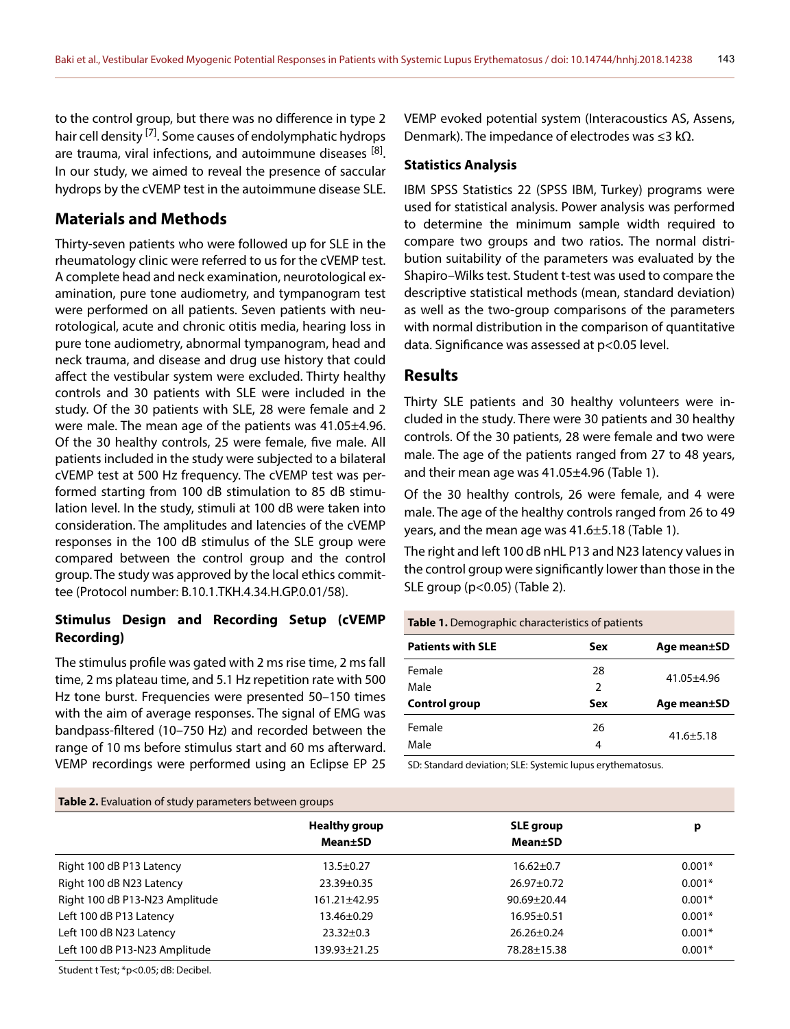to the control group, but there was no difference in type 2 hair cell density <sup>[7]</sup>. Some causes of endolymphatic hydrops are trauma, viral infections, and autoimmune diseases [8]. In our study, we aimed to reveal the presence of saccular hydrops by the cVEMP test in the autoimmune disease SLE.

## **Materials and Methods**

Thirty-seven patients who were followed up for SLE in the rheumatology clinic were referred to us for the cVEMP test. A complete head and neck examination, neurotological examination, pure tone audiometry, and tympanogram test were performed on all patients. Seven patients with neurotological, acute and chronic otitis media, hearing loss in pure tone audiometry, abnormal tympanogram, head and neck trauma, and disease and drug use history that could affect the vestibular system were excluded. Thirty healthy controls and 30 patients with SLE were included in the study. Of the 30 patients with SLE, 28 were female and 2 were male. The mean age of the patients was 41.05±4.96. Of the 30 healthy controls, 25 were female, five male. All patients included in the study were subjected to a bilateral cVEMP test at 500 Hz frequency. The cVEMP test was performed starting from 100 dB stimulation to 85 dB stimulation level. In the study, stimuli at 100 dB were taken into consideration. The amplitudes and latencies of the cVEMP responses in the 100 dB stimulus of the SLE group were compared between the control group and the control group. The study was approved by the local ethics committee (Protocol number: B.10.1.TKH.4.34.H.GP.0.01/58).

## **Stimulus Design and Recording Setup (cVEMP Recording)**

The stimulus profile was gated with 2 ms rise time, 2 ms fall time, 2 ms plateau time, and 5.1 Hz repetition rate with 500 Hz tone burst. Frequencies were presented 50–150 times with the aim of average responses. The signal of EMG was bandpass-filtered (10–750 Hz) and recorded between the range of 10 ms before stimulus start and 60 ms afterward. VEMP recordings were performed using an Eclipse EP 25 VEMP evoked potential system (Interacoustics AS, Assens, Denmark). The impedance of electrodes was ≤3 kΩ.

#### **Statistics Analysis**

IBM SPSS Statistics 22 (SPSS IBM, Turkey) programs were used for statistical analysis. Power analysis was performed to determine the minimum sample width required to compare two groups and two ratios. The normal distribution suitability of the parameters was evaluated by the Shapiro–Wilks test. Student t-test was used to compare the descriptive statistical methods (mean, standard deviation) as well as the two-group comparisons of the parameters with normal distribution in the comparison of quantitative data. Significance was assessed at p<0.05 level.

### **Results**

Thirty SLE patients and 30 healthy volunteers were included in the study. There were 30 patients and 30 healthy controls. Of the 30 patients, 28 were female and two were male. The age of the patients ranged from 27 to 48 years, and their mean age was 41.05±4.96 (Table 1).

Of the 30 healthy controls, 26 were female, and 4 were male. The age of the healthy controls ranged from 26 to 49 years, and the mean age was 41.6±5.18 (Table 1).

The right and left 100 dB nHL P13 and N23 latency values in the control group were significantly lower than those in the SLE group (p<0.05) (Table 2).

#### **Table 1.** Demographic characteristics of patients

| <b>Patients with SLE</b> | Sex           | Age mean±SD     |  |
|--------------------------|---------------|-----------------|--|
| Female                   | 28            | $41.05 + 4.96$  |  |
| Male                     | $\mathcal{P}$ |                 |  |
| Control group            | Sex           | Age mean±SD     |  |
| Female                   | 26            | $41.6 \pm 5.18$ |  |
| Male                     | 4             |                 |  |

SD: Standard deviation; SLE: Systemic lupus erythematosus.

| <b>Table 2.</b> Evaluation of study parameters between groups |                                         |                                     |          |  |
|---------------------------------------------------------------|-----------------------------------------|-------------------------------------|----------|--|
|                                                               | <b>Healthy group</b><br><b>Mean</b> ±SD | <b>SLE</b> group<br><b>Mean</b> ±SD | р        |  |
| Right 100 dB P13 Latency                                      | $13.5 \pm 0.27$                         | $16.62 \pm 0.7$                     | $0.001*$ |  |
| Right 100 dB N23 Latency                                      | $23.39 \pm 0.35$                        | $26.97 \pm 0.72$                    | $0.001*$ |  |
| Right 100 dB P13-N23 Amplitude                                | 161.21±42.95                            | $90.69 + 20.44$                     | $0.001*$ |  |
| Left 100 dB P13 Latency                                       | $13.46 \pm 0.29$                        | $16.95 \pm 0.51$                    | $0.001*$ |  |
| Left 100 dB N23 Latency                                       | $23.32 \pm 0.3$                         | $26.26 \pm 0.24$                    | $0.001*$ |  |
| Left 100 dB P13-N23 Amplitude                                 | 139.93±21.25                            | 78.28±15.38                         | $0.001*$ |  |

Student t Test; \*p<0.05; dB: Decibel.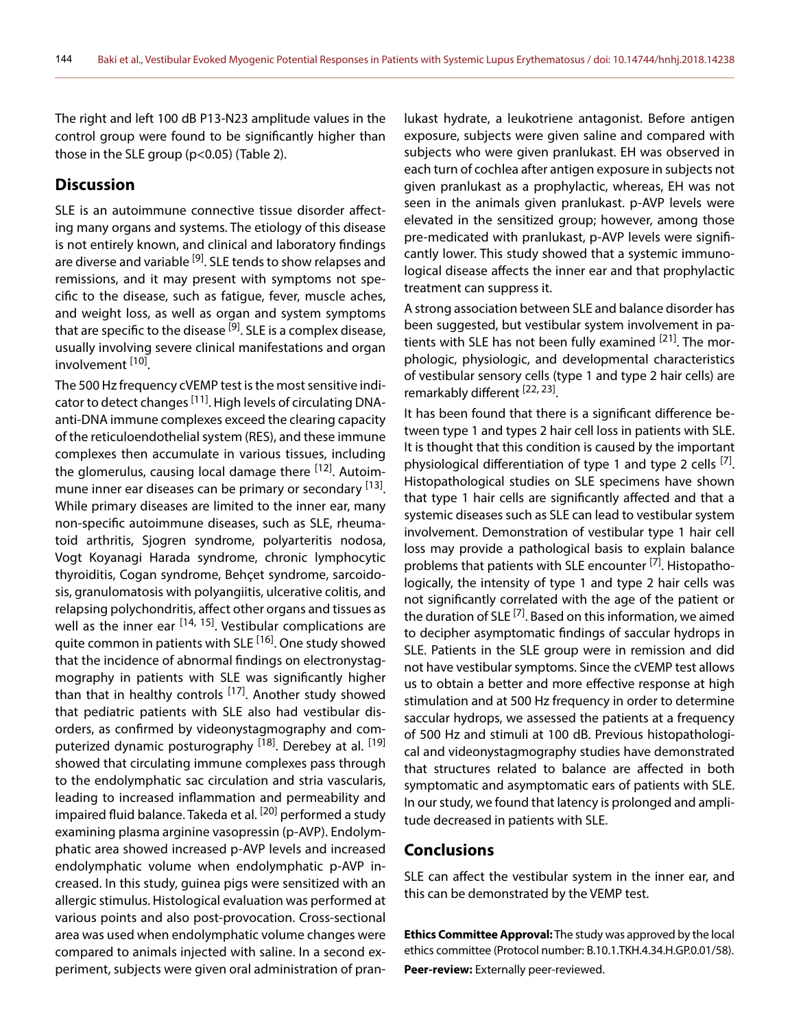The right and left 100 dB P13-N23 amplitude values in the control group were found to be significantly higher than those in the SLE group (p<0.05) (Table 2).

#### **Discussion**

SLE is an autoimmune connective tissue disorder affecting many organs and systems. The etiology of this disease is not entirely known, and clinical and laboratory findings are diverse and variable <sup>[9]</sup>. SLE tends to show relapses and remissions, and it may present with symptoms not specific to the disease, such as fatigue, fever, muscle aches, and weight loss, as well as organ and system symptoms that are specific to the disease <sup>[9]</sup>. SLE is a complex disease, usually involving severe clinical manifestations and organ involvement [10].

The 500 Hz frequency cVEMP test is the most sensitive indicator to detect changes <sup>[11]</sup>. High levels of circulating DNAanti-DNA immune complexes exceed the clearing capacity of the reticuloendothelial system (RES), and these immune complexes then accumulate in various tissues, including the glomerulus, causing local damage there <sup>[12]</sup>. Autoimmune inner ear diseases can be primary or secondary [13]. While primary diseases are limited to the inner ear, many non-specific autoimmune diseases, such as SLE, rheumatoid arthritis, Sjogren syndrome, polyarteritis nodosa, Vogt Koyanagi Harada syndrome, chronic lymphocytic thyroiditis, Cogan syndrome, Behçet syndrome, sarcoidosis, granulomatosis with polyangiitis, ulcerative colitis, and relapsing polychondritis, affect other organs and tissues as well as the inner ear <sup>[14, 15]</sup>. Vestibular complications are quite common in patients with SLE<sup>[16]</sup>. One study showed that the incidence of abnormal findings on electronystagmography in patients with SLE was significantly higher than that in healthy controls <sup>[17]</sup>. Another study showed that pediatric patients with SLE also had vestibular disorders, as confirmed by videonystagmography and computerized dynamic posturography <sup>[18]</sup>. Derebey at al. <sup>[19]</sup> showed that circulating immune complexes pass through to the endolymphatic sac circulation and stria vascularis, leading to increased inflammation and permeability and impaired fluid balance. Takeda et al. <sup>[20]</sup> performed a study examining plasma arginine vasopressin (p-AVP). Endolymphatic area showed increased p-AVP levels and increased endolymphatic volume when endolymphatic p-AVP increased. In this study, guinea pigs were sensitized with an allergic stimulus. Histological evaluation was performed at various points and also post-provocation. Cross-sectional area was used when endolymphatic volume changes were compared to animals injected with saline. In a second experiment, subjects were given oral administration of pranlukast hydrate, a leukotriene antagonist. Before antigen exposure, subjects were given saline and compared with subjects who were given pranlukast. EH was observed in each turn of cochlea after antigen exposure in subjects not given pranlukast as a prophylactic, whereas, EH was not seen in the animals given pranlukast. p-AVP levels were elevated in the sensitized group; however, among those pre-medicated with pranlukast, p-AVP levels were significantly lower. This study showed that a systemic immunological disease affects the inner ear and that prophylactic treatment can suppress it.

A strong association between SLE and balance disorder has been suggested, but vestibular system involvement in patients with SLE has not been fully examined  $[21]$ . The morphologic, physiologic, and developmental characteristics of vestibular sensory cells (type 1 and type 2 hair cells) are remarkably different [22, 23].

It has been found that there is a significant difference between type 1 and types 2 hair cell loss in patients with SLE. It is thought that this condition is caused by the important physiological differentiation of type 1 and type 2 cells  $^{[7]}$ . Histopathological studies on SLE specimens have shown that type 1 hair cells are significantly affected and that a systemic diseases such as SLE can lead to vestibular system involvement. Demonstration of vestibular type 1 hair cell loss may provide a pathological basis to explain balance problems that patients with SLE encounter [7]. Histopathologically, the intensity of type 1 and type 2 hair cells was not significantly correlated with the age of the patient or the duration of SLE<sup>[7]</sup>. Based on this information, we aimed to decipher asymptomatic findings of saccular hydrops in SLE. Patients in the SLE group were in remission and did not have vestibular symptoms. Since the cVEMP test allows us to obtain a better and more effective response at high stimulation and at 500 Hz frequency in order to determine saccular hydrops, we assessed the patients at a frequency of 500 Hz and stimuli at 100 dB. Previous histopathological and videonystagmography studies have demonstrated that structures related to balance are affected in both symptomatic and asymptomatic ears of patients with SLE. In our study, we found that latency is prolonged and amplitude decreased in patients with SLE.

#### **Conclusions**

SLE can affect the vestibular system in the inner ear, and this can be demonstrated by the VEMP test.

**Ethics Committee Approval:** The study was approved by the local ethics committee (Protocol number: B.10.1.TKH.4.34.H.GP.0.01/58). **Peer-review:** Externally peer-reviewed.